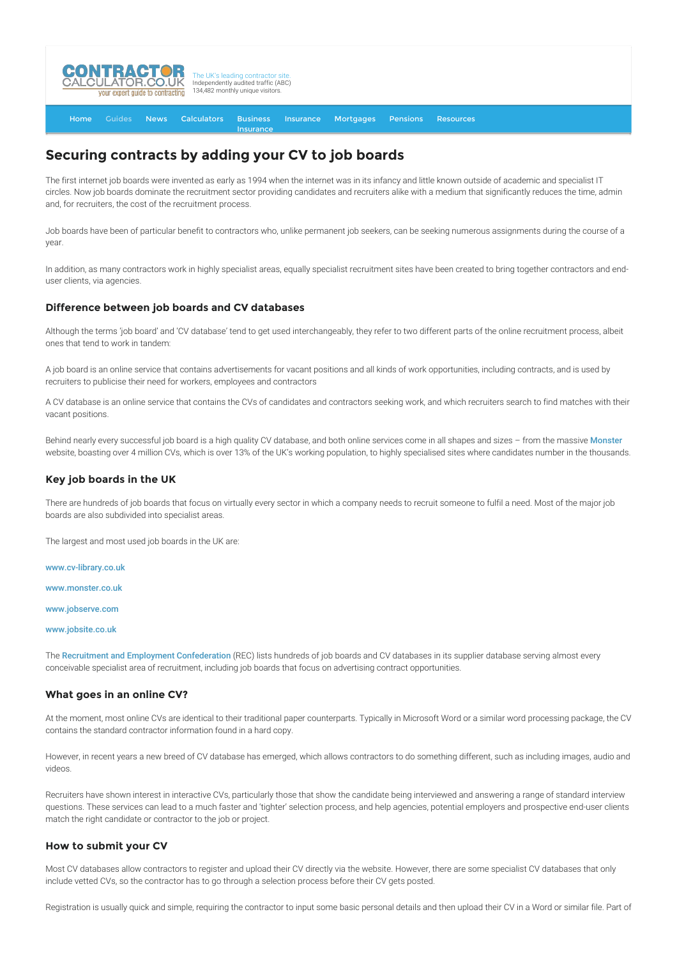

#### [Home](http://www.contractorcalculator.co.uk/) [Guides](http://www.contractorcalculator.co.uk/Articles.aspx) [News](http://www.contractorcalculator.co.uk/Contractor_News.aspx) [Calculators](http://www.contractorcalculator.co.uk/Calculators.aspx) Business **[Insurance](http://www.contractorcalculator.co.uk/Contractor_Insurances.aspx)** [Insurance](http://www.contractorcalculator.co.uk/Insurance.aspx) [Mortgages](http://www.contractorcalculator.co.uk/Contractor_Mortgages.aspx) [Pensions](http://www.contractorcalculator.co.uk/Contractor_Pensions.aspx) [Resources](http://www.contractorcalculator.co.uk/Contractor_Resources.aspx)

# **Securing contracts by adding your CV to job boards**

The first internet job boards were invented as early as 1994 when the internet was in its infancy and little known outside of academic and specialist IT circles. Now job boards dominate the recruitment sector providing candidates and recruiters alike with a medium that significantly reduces the time, admin and, for recruiters, the cost of the recruitment process.

Job boards have been of particular benefit to contractors who, unlike permanent job seekers, can be seeking numerous assignments during the course of a year.

In addition, as many contractors work in highly specialist areas, equally specialist recruitment sites have been created to bring together contractors and enduser clients, via agencies.

## **Difference between job boards and CV databases**

Although the terms 'job board' and 'CV database' tend to get used interchangeably, they refer to two different parts of the online recruitment process, albeit ones that tend to work in tandem:

A job board is an online service that contains advertisements for vacant positions and all kinds of work opportunities, including contracts, and is used by recruiters to publicise their need for workers, employees and contractors

A CV database is an online service that contains the CVs of candidates and contractors seeking work, and which recruiters search to find matches with their vacant positions.

Behind nearly every successful job board is a high quality CV database, and both online services come in all shapes and sizes - from the massive [Monster](http://www.monster.co.uk/) website, boasting over 4 million CVs, which is over 13% of the UK's working population, to highly specialised sites where candidates number in the thousands.

## **Key job boards in the UK**

There are hundreds of job boards that focus on virtually every sector in which a company needs to recruit someone to fulfil a need. Most of the major job boards are also subdivided into specialist areas.

The largest and most used job boards in the UK are:

[www.cv-library.co.uk](http://www.cv-library.co.uk)

[www.monster.co.uk](http://www.monster.co.uk)

[www.jobserve.com](http://www.jobserve.com)

[www.jobsite.co.uk](http://www.jobsite.co.uk)

The [Recruitment and Employment Confederation](http://www.rec.uk.com) (REC) lists hundreds of job boards and CV databases in its supplier database serving almost every conceivable specialist area of recruitment, including job boards that focus on advertising contract opportunities.

### **What goes in an online CV?**

At the moment, most online CVs are identical to their traditional paper counterparts. Typically in Microsoft Word or a similar word processing package, the CV contains the standard contractor information found in a hard copy.

However, in recent years a new breed of CV database has emerged, which allows contractors to do something different, such as including images, audio and videos.

Recruiters have shown interest in interactive CVs, particularly those that show the candidate being interviewed and answering a range of standard interview questions. These services can lead to a much faster and 'tighter' selection process, and help agencies, potential employers and prospective end-user clients match the right candidate or contractor to the job or project.

#### **How to submit your CV**

Most CV databases allow contractors to register and upload their CV directly via the website. However, there are some specialist CV databases that only include vetted CVs, so the contractor has to go through a selection process before their CV gets posted.

Registration is usually quick and simple, requiring the contractor to input some basic personal details and then upload their CV in a Word or similar file. Part of